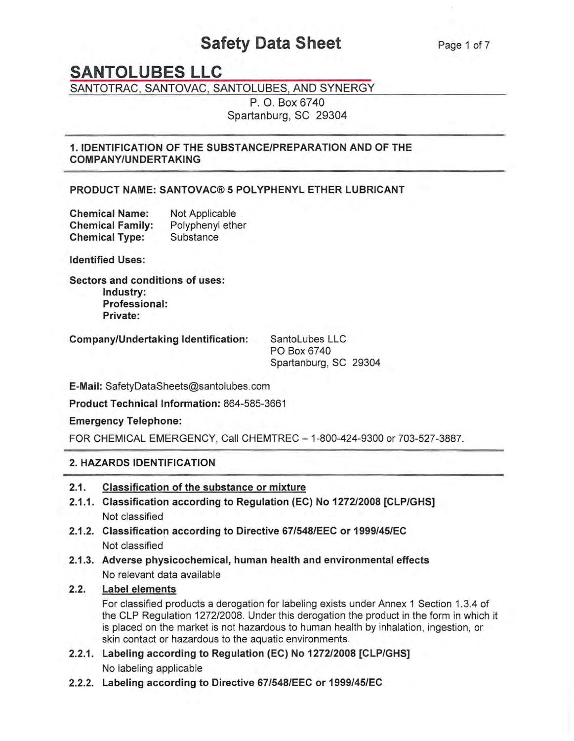# **Safety Data Sheet**

# **SANTOLUBES LLC**

SANTOTRAC, SANTOVAC, SANTOLUBES, AND SYNERGY

P. O. Box 6740 Spartanburg, SC 29304

# 1. IDENTIFICATION OF THE SUBSTANCE/PREPARATION AND OF THE COMPANY/UNDERTAKING

# PRODUCT NAME: SANTOVAC® 5 POLYPHENYL ETHER LUBRICANT

| <b>Chemical Name:</b>   | Not Applicable   |  |
|-------------------------|------------------|--|
| <b>Chemical Family:</b> | Polyphenyl ether |  |
| <b>Chemical Type:</b>   | Substance        |  |

Identified Uses:

Sectors and conditions of uses: Industry: Professional: Private:

Company/Undertaking Identification: SantoLubes LLC

PO Box 6740 Spartanburg, SC 29304

E-Mail: SafetyDataSheets@santolubes.com

Product Technical Information: 864-585-3661

Emergency Telephone:

FOR CHEMICAL EMERGENCY, Call CHEMTREC - 1-800-424-9300 or 703-527-3887.

# 2. HAZARDS IDENTIFICATION

# 2.1. Classification of the substance or mixture

- 2.1.1. Classification according to Regulation (EC) No 1272/2008 [CLP/GHS) Not classified
- 2.1.2. Classification according to Directive 67/548/EEC or 1999/45/EC Not classified
- 2.1.3. Adverse physicochemical, human health and environmental effects No relevant data available

# 2.2. Label elements

For classified products a derogation for labeling exists under Annex 1 Section 1.3.4 of the CLP Regulation 1272/2008. Under this derogation the product in the form in which it is placed on the market is not hazardous to human health by inhalation, ingestion, or skin contact or hazardous to the aquatic environments.

- 2.2.1. Labeling according to Regulation (EC) No 1272/2008 [CLP/GHS) No labeling applicable
- 2.2.2. Labeling according to Directive 67/548/EEC or 1999/45/EC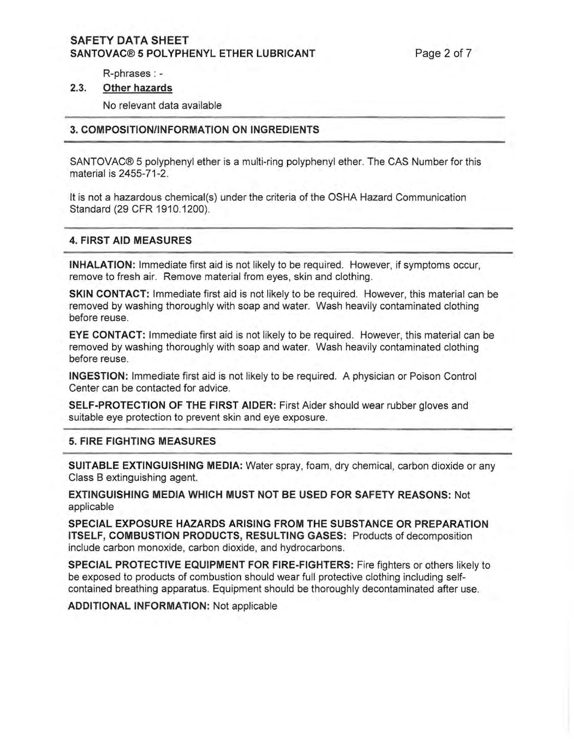# **SAFETY DATA SHEET SANTOVAC® 5 POLYPHENYL ETHER LUBRICANT Page 2 of 7**

R-phrases : -

#### **2.3. Other hazards**

No relevant data available

### **3. COMPOSITIONIINFORMATION ON INGREDIENTS**

SANTOVAC® 5 polyphenyl ether is a multi-ring polyphenyl ether. The CAS Number for this material is 2455-71-2.

It is not a hazardous chemical(s) under the criteria of the OSHA Hazard Communication Standard (29 CFR 1910.1200).

#### **4. FIRST AID MEASURES**

**INHALATION:** Immediate first aid is not likely to be required. However, if symptoms occur, remove to fresh air. Remove material from eyes, skin and clothing .

**SKIN CONTACT:** Immediate first aid is not likely to be required. However, this material can be removed by washing thoroughly with soap and water. Wash heavily contaminated clothing before reuse.

**EYE CONTACT:** Immediate first aid is not likely to be required. However, this material can be removed by washing thoroughly with soap and water. Wash heavily contaminated clothing before reuse.

**INGESTION:** Immediate first aid is not likely to be required. A physician or Poison Control Center can be contacted for advice.

**SELF-PROTECTION OF THE FIRST AIDER:** First Aider should wear rubber gloves and suitable eye protection to prevent skin and eye exposure.

#### **5. FIRE FIGHTING MEASURES**

**SUITABLE EXTINGUISHING MEDIA:** Water spray, foam, dry chemical, carbon dioxide or any Class B extinguishing agent.

**EXTINGUISHING MEDIA WHICH MUST NOT BE USED FOR SAFETY REASONS:** Not applicable

**SPECIAL EXPOSURE HAZARDS ARISING FROM THE SUBSTANCE OR PREPARATION ITSELF, COMBUSTION PRODUCTS, RESULTING GASES:** Products of decomposition include carbon monoxide, carbon dioxide, and hydrocarbons.

**SPECIAL PROTECTIVE EQUIPMENT FOR FIRE-FIGHTERS:** Fire fighters or others likely to be exposed to products of combustion should wear full protective clothing including selfcontained breathing apparatus. Equipment should be thoroughly decontaminated after use.

**ADDITIONAL INFORMATION:** Not applicable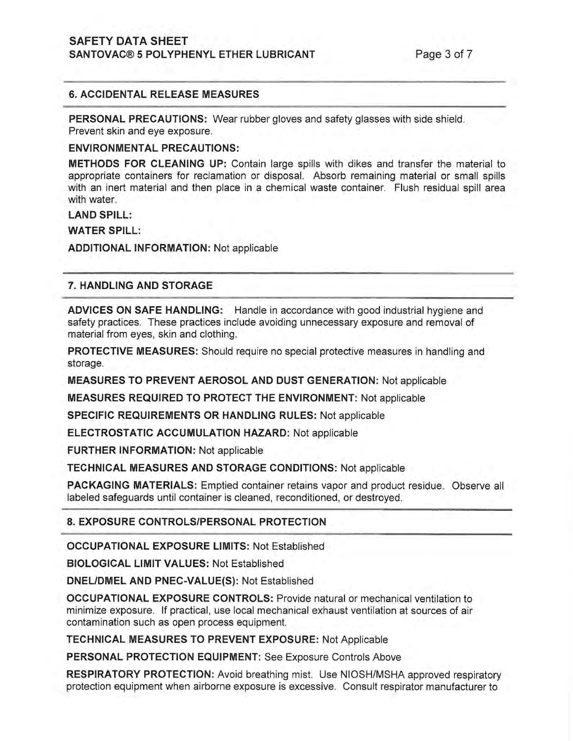# **SAFETY DATA SHEET SANTOVAC® 5 POLYPHENYL ETHER LUBRICANT Page 3 of 7**

## **6. ACCIDENTAL RELEASE MEASURES**

**PERSONAL PRECAUTIONS:** Wear rubber gloves and safety glasses with side shield, Prevent skin and eye exposure.

#### **ENVIRONMENTAL PRECAUTIONS:**

**METHODS FOR CLEANING UP:** Contain large spills with dikes and transfer the material to appropriate containers for reclamation or disposal. Absorb remaining material or small spills with an inert material and then place in a chemical waste container. Flush residual spill area with water.

#### LAND SPILL:

#### **WATER SPILL:**

**ADDITIONAL INFORMATION:** Not applicable

### **7. HANDLING AND STORAGE**

**ADVICES ON SAFE HANDLING:** Handle in accordance with good industrial hygiene and safety practices. These practices include avoiding unnecessary exposure and removal of material from eyes, skin and clothing,

**PROTECTIVE MEASURES:** Should require no special protective measures in handling and storage,

**MEASURES TO PREVENT AEROSOL AND DUST GENERATION:** Not applicable

**MEASURES REQUIRED TO PROTECT THE ENVIRONMENT:** Not applicable

**SPECIFIC REQUIREMENTS OR HANDLING RULES:** Not applicable

**ELECTROSTATIC ACCUMULATION HAZARD:** Not applicable

**FURTHER INFORMATION:** Not applicable

**TECHNICAL MEASURES AND STORAGE CONDITIONS:** Not applicable

**PACKAGING MATERIALS:** Emptied container retains vapor and product residue. Observe all labeled safeguards until container is cleaned, reconditioned, or destroyed.

# **8. EXPOSURE CONTROLS/PERSONAL PROTECTION**

**OCCUPATIONAL EXPOSURE LIMITS:** Not Established

**BIOLOGICAL LIMIT VALUES:** Not Established

**DNELIDMEL AND PNEC-VALUE(S):** Not Established

**OCCUPATIONAL EXPOSURE CONTROLS:** Provide natural or mechanical ventilation to minimize exposure. If practical, use local mechanical exhaust ventilation at sources of air contamination such as open process equipment.

**TECHNICAL MEASURES TO PREVENT EXPOSURE:** Not Applicable

**PERSONAL PROTECTION EQUIPMENT:** See Exposure Controls Above

**RESPIRATORY PROTECTION:** Avoid breathing mist. Use NIOSH/MSHA approved respiratory protection equipment when airborne exposure is excessive, Consult respirator manufacturer to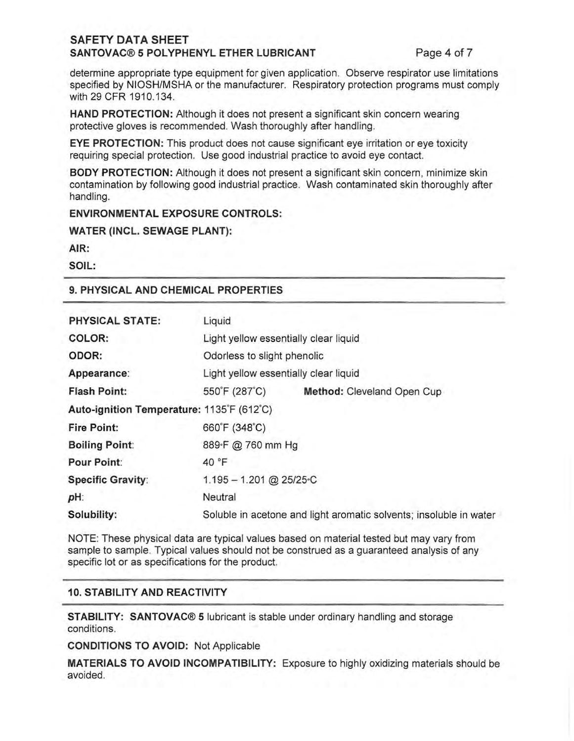# **SAFETY DATA SHEET**  SANTOVAC® 5 POLYPHENYL ETHER LUBRICANT Page 4 of 7

determine appropriate type equipment for given application. Observe respirator use limitations specified by NIOSH/MSHA or the manufacturer. Respiratory protection programs must comply with 29 CFR 1910.134.

**HAND PROTECTION:** Although it does not present a significant skin concern wearing protective gloves is recommended. Wash thoroughly after handling.

**EYE PROTECTION:** This product does not cause significant eye irritation or eye toxicity requiring special protection. Use good industrial practice to avoid eye contact.

**BODY PROTECTION:** Although it does not present a significant skin concern, minimize skin contamination by following good industrial practice. Wash contaminated skin thoroughly after handling.

**ENVIRONMENTAL EXPOSURE CONTROLS:** 

**WATER (INCL. SEWAGE PLANT):** 

**AIR:** 

**SOIL:** 

## **9. PHYSICAL AND CHEMICAL PROPERTIES**

| PHYSICAL STATE:                           | Liquid                                                             |                            |  |  |
|-------------------------------------------|--------------------------------------------------------------------|----------------------------|--|--|
| COLOR:                                    | Light yellow essentially clear liquid                              |                            |  |  |
| ODOR:                                     | Odorless to slight phenolic                                        |                            |  |  |
| Appearance:                               | Light yellow essentially clear liquid                              |                            |  |  |
| <b>Flash Point:</b>                       | 550°F (287°C)                                                      | Method: Cleveland Open Cup |  |  |
| Auto-ignition Temperature: 1135°F (612°C) |                                                                    |                            |  |  |
| <b>Fire Point:</b>                        | 660°F (348°C)                                                      |                            |  |  |
| <b>Boiling Point:</b>                     | 889-F @ 760 mm Hg                                                  |                            |  |  |
| Pour Point:                               | 40 °F                                                              |                            |  |  |
| <b>Specific Gravity:</b>                  | $1.195 - 1.201$ @ 25/25 °C                                         |                            |  |  |
| pH:                                       | Neutral                                                            |                            |  |  |
| Solubility:                               | Soluble in acetone and light aromatic solvents; insoluble in water |                            |  |  |

NOTE: These physical data are typical values based on material tested but may vary from sample to sample. Typical values should not be construed as a guaranteed analysis of any specific lot or as specifications for the product.

# **10. STABILITY AND REACTIVITY**

**STABILITY: SANTOVAC® 5** lubricant is stable under ordinary handling and storage conditions.

**CONDITIONS TO AVOID:** Not Applicable

**MATERIALS TO AVOID INCOMPATIBILITY:** Exposure to highly oxidizing materials should be avoided.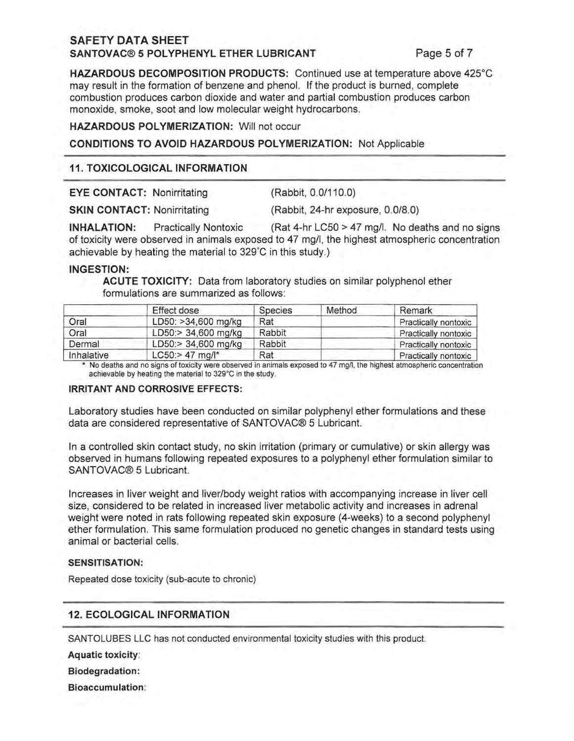# **SAFETY DATA SHEET SANTOVAC® 5 POLYPHENYL ETHER LUBRICANT Page 5 of 7**

**HAZARDOUS DECOMPOSITION PRODUCTS:** Continued use at temperature above 425°C may result in the formation of benzene and phenol. **If** the product is burned, complete combustion produces carbon dioxide and water and partial combustion produces carbon monoxide, smoke, soot and low molecular weight hydrocarbons.

**HAZARDOUS POLYMERIZATION:** Will not occur

# **CONDITIONS TO AVOID HAZARDOUS POLYMERIZATION:** Not Applicable

# **11. TOXICOLOGICAL INFORMATION**

| <b>EYE CONTACT: Nonirritating</b>  | (Rabbit, 0.0/110.0)               |  |  |
|------------------------------------|-----------------------------------|--|--|
| <b>SKIN CONTACT: Nonirritating</b> | (Rabbit, 24-hr exposure, 0.0/8.0) |  |  |

**INHALATION:** Practically Nontoxic (Rat 4-hr LC50 > 47 mg/l. No deaths and no signs of toxicity were observed in animals exposed to 47 mg/I, the highest atmospheric concentration achievable by heating the material to 329°C in this study.)

#### **INGESTION:**

**ACUTE TOXICITY:** Data from laboratory studies on similar polyphenol ether formulations are summarized as follows:

|            | Effect dose                | Species | Method | Remark               |
|------------|----------------------------|---------|--------|----------------------|
| Oral       | LD50: >34,600 mg/kg        | Rat     |        | Practically nontoxic |
| Oral       | LD50:> 34,600 mg/kg        | Rabbit  |        | Practically nontoxic |
| Dermal     | LD50:> 34,600 mg/kg        | Rabbit  |        | Practically nontoxic |
| Inhalative | $LC50$ : > 47 mg/ $\mid^*$ | Rat     |        | Practically nontoxic |

No deaths and no signs of toxicity were observed in animals exposed to 47 mg/l, the highest atmospheric concentration **achievable by heating the material to 329°C in the study.** 

#### **IRRITANT AND CORROSIVE EFFECTS:**

Laboratory studies have been conducted on similar polyphenyl ether formulations and these data are considered representative of SANTOVAC® 5 Lubricant.

In a controlled skin contact study, no skin irritation (primary or cumulative) or skin allergy was observed in humans following repeated exposures to a polyphenyl ether formulation similar to SANTOVAC® 5 Lubricant.

Increases in liver weight and liver/body weight ratios with accompanying increase in liver cell size, considered to be related in increased liver metabolic activity and increases in adrenal weight were noted in rats following repeated skin exposure (4-weeks) to a second polyphenyl ether formulation. This same formulation produced no genetic changes in standard tests using animal or bacterial cells.

#### **SENSITISATlON:**

Repeated dose toxicity (sub-acute to chronic)

# **12. ECOLOGICAL INFORMATION**

SANTOLUBES LLC has not conducted environmental toxicity studies with this product.

**Aquatic** toxicity:

**Biodegradation:** 

**Bioaccumulation:**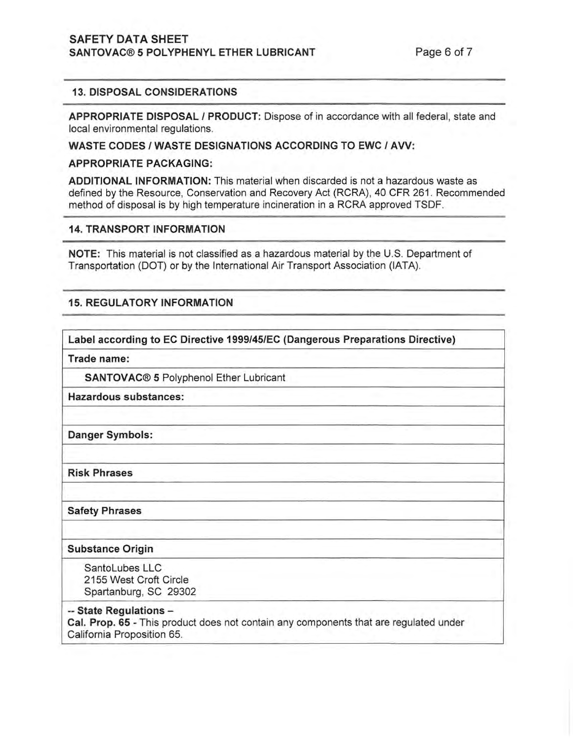# SAFETY DATA SHEET SANTOVAC® 5 POLYPHENYL ETHER LUBRICANT Page 6 of 7

## 13. DISPOSAL CONSIDERATIONS

APPROPRIATE DISPOSAL I PRODUCT: Dispose of in accordance with all federal, state and local environmental regulations.

WASTE CODES / WASTE DESIGNATIONS ACCORDING TO EWC / AVV:

#### APPROPRIATE PACKAGING:

ADDITIONAL INFORMATION: This material when discarded is not a hazardous waste as defined by the Resource, Conservation and Recovery Act (RCRA), 40 CFR 261 . Recommended method of disposal is by high temperature incineration in a RCRA approved TSDF.

## 14. TRANSPORT INFORMATION

NOTE: This material is not classified as a hazardous material by the U.S. Department of Transportation (DOT) or by the International Air Transport Association (lATA).

# 15. REGULATORY INFORMATION

Label according to EC Directive *1999/45/EC* (Dangerous Preparations Directive)

Trade name:

SANTOVAC® 5 Polyphenol Ether Lubricant

Hazardous substances:

Danger Symbols:

Risk Phrases

Safety Phrases

#### Substance Origin

SantoLubes LLC 2155 West Croft Circle Spartanburg, SC 29302

-- State Regulations -

Cal. Prop. 65 - This product does not contain any components that are regulated under California Proposition 65.